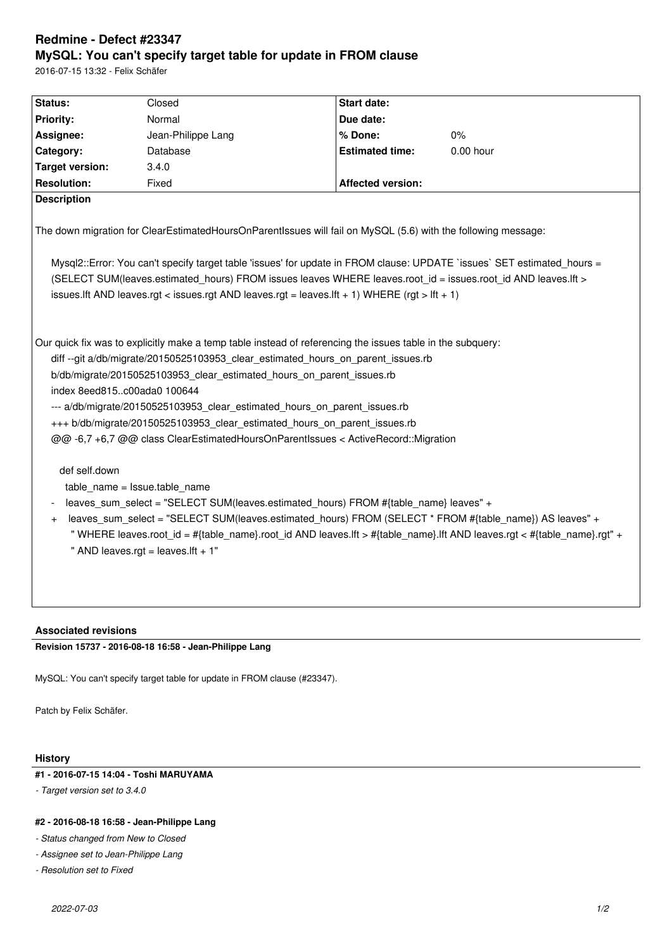# **Redmine - Defect #23347 MySQL: You can't specify target table for update in FROM clause**

2016-07-15 13:32 - Felix Schäfer

| Status:                                                                                                                                                                                                                                                                                                                                                                                                                                                                                                                                                                                                                                                                                                                                                                                                                                                                                                                                           | Closed             | Start date:              |             |
|---------------------------------------------------------------------------------------------------------------------------------------------------------------------------------------------------------------------------------------------------------------------------------------------------------------------------------------------------------------------------------------------------------------------------------------------------------------------------------------------------------------------------------------------------------------------------------------------------------------------------------------------------------------------------------------------------------------------------------------------------------------------------------------------------------------------------------------------------------------------------------------------------------------------------------------------------|--------------------|--------------------------|-------------|
| Priority:                                                                                                                                                                                                                                                                                                                                                                                                                                                                                                                                                                                                                                                                                                                                                                                                                                                                                                                                         | Normal             | Due date:                |             |
|                                                                                                                                                                                                                                                                                                                                                                                                                                                                                                                                                                                                                                                                                                                                                                                                                                                                                                                                                   |                    |                          |             |
| Assignee:                                                                                                                                                                                                                                                                                                                                                                                                                                                                                                                                                                                                                                                                                                                                                                                                                                                                                                                                         | Jean-Philippe Lang | % Done:                  | 0%          |
| Category:                                                                                                                                                                                                                                                                                                                                                                                                                                                                                                                                                                                                                                                                                                                                                                                                                                                                                                                                         | Database           | <b>Estimated time:</b>   | $0.00$ hour |
| <b>Target version:</b>                                                                                                                                                                                                                                                                                                                                                                                                                                                                                                                                                                                                                                                                                                                                                                                                                                                                                                                            | 3.4.0              |                          |             |
| <b>Resolution:</b>                                                                                                                                                                                                                                                                                                                                                                                                                                                                                                                                                                                                                                                                                                                                                                                                                                                                                                                                | Fixed              | <b>Affected version:</b> |             |
| <b>Description</b>                                                                                                                                                                                                                                                                                                                                                                                                                                                                                                                                                                                                                                                                                                                                                                                                                                                                                                                                |                    |                          |             |
| The down migration for ClearEstimatedHoursOnParentIssues will fail on MySQL (5.6) with the following message:<br>Mysql2::Error: You can't specify target table 'issues' for update in FROM clause: UPDATE `issues` SET estimated hours =                                                                                                                                                                                                                                                                                                                                                                                                                                                                                                                                                                                                                                                                                                          |                    |                          |             |
| (SELECT SUM(leaves.estimated hours) FROM issues leaves WHERE leaves.root id = issues.root id AND leaves.lft >                                                                                                                                                                                                                                                                                                                                                                                                                                                                                                                                                                                                                                                                                                                                                                                                                                     |                    |                          |             |
| issues. If t AND leaves.rgt < issues.rgt AND leaves.rgt = leaves. If t + 1) WHERE (rgt > Ift + 1)                                                                                                                                                                                                                                                                                                                                                                                                                                                                                                                                                                                                                                                                                                                                                                                                                                                 |                    |                          |             |
|                                                                                                                                                                                                                                                                                                                                                                                                                                                                                                                                                                                                                                                                                                                                                                                                                                                                                                                                                   |                    |                          |             |
| Our quick fix was to explicitly make a temp table instead of referencing the issues table in the subquery:<br>diff --git a/db/migrate/20150525103953_clear_estimated_hours_on_parent_issues.rb<br>b/db/migrate/20150525103953_clear_estimated_hours_on_parent_issues.rb<br>index 8eed815c00ada0 100644<br>--- a/db/migrate/20150525103953_clear_estimated_hours_on_parent_issues.rb<br>+++ b/db/migrate/20150525103953 clear estimated hours on parent issues.rb<br>@@ -6,7 +6,7 @@ class ClearEstimatedHoursOnParentIssues < ActiveRecord::Migration<br>def self.down<br>table name = Issue.table name<br>leaves sum select = "SELECT SUM(leaves.estimated hours) FROM #{table name} leaves" +<br>leaves sum select = "SELECT SUM(leaves.estimated hours) FROM (SELECT * FROM #{table name}) AS leaves" +<br>$\ddot{}$<br>"WHERE leaves.root_id = #{table_name}.root_id AND leaves.lft > #{table_name}.lft AND leaves.rgt < #{table_name}.rgt" + |                    |                          |             |
| " AND leaves.rgt = leaves.lft + 1"                                                                                                                                                                                                                                                                                                                                                                                                                                                                                                                                                                                                                                                                                                                                                                                                                                                                                                                |                    |                          |             |
|                                                                                                                                                                                                                                                                                                                                                                                                                                                                                                                                                                                                                                                                                                                                                                                                                                                                                                                                                   |                    |                          |             |
|                                                                                                                                                                                                                                                                                                                                                                                                                                                                                                                                                                                                                                                                                                                                                                                                                                                                                                                                                   |                    |                          |             |
|                                                                                                                                                                                                                                                                                                                                                                                                                                                                                                                                                                                                                                                                                                                                                                                                                                                                                                                                                   |                    |                          |             |
|                                                                                                                                                                                                                                                                                                                                                                                                                                                                                                                                                                                                                                                                                                                                                                                                                                                                                                                                                   |                    |                          |             |

### **Associated revisions**

**Revision 15737 - 2016-08-18 16:58 - Jean-Philippe Lang**

MySQL: You can't specify target table for update in FROM clause (#23347).

Patch by Felix Schäfer.

### **History**

## **#1 - 2016-07-15 14:04 - Toshi MARUYAMA**

*- Target version set to 3.4.0*

#### **#2 - 2016-08-18 16:58 - Jean-Philippe Lang**

*- Status changed from New to Closed*

- *Assignee set to Jean-Philippe Lang*
- *Resolution set to Fixed*